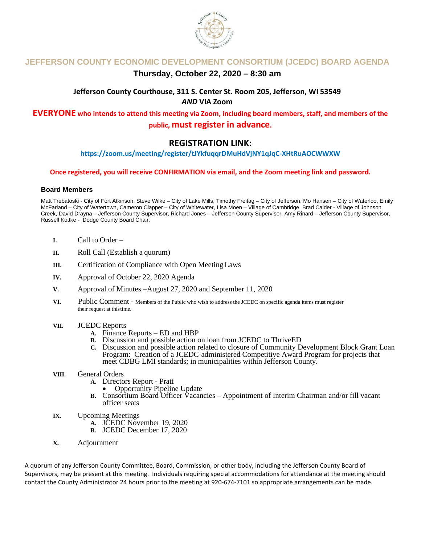

# **JEFFERSON COUNTY ECONOMIC DEVELOPMENT CONSORTIUM (JCEDC) BOARD AGENDA**

# **Thursday, October 22, 2020 – 8:30 am**

# **Jefferson County Courthouse, 311 S. Center St. Room 205, Jefferson, WI 53549** *AND* **VIA Zoom**

**EVERYONE who intends to attend this meeting via Zoom, including board members, staff, and members of the public, must register in advance.**

# **REGISTRATION LINK:**

# **https://zoom.us/meeting/register/tJYkfuqqrDMuHdVjNY1qJqC-XHtRuAOCWWXW**

### **Once registered, you will receive CONFIRMATION via email, and the Zoom meeting link and password.**

#### **Board Members**

Matt Trebatoski - City of Fort Atkinson, Steve Wilke – City of Lake Mills, Timothy Freitag – City of Jefferson, Mo Hansen – City of Waterloo, Emily McFarland – City of Watertown, Cameron Clapper – City of Whitewater, Lisa Moen – Village of Cambridge, Brad Calder - Village of Johnson Creek, David Drayna – Jefferson County Supervisor, Richard Jones – Jefferson County Supervisor, Amy Rinard – Jefferson County Supervisor, Russell Kottke - Dodge County Board Chair.

- **I.** Call to Order –
- **II.** Roll Call (Establish a quorum)
- **III.** Certification of Compliance with Open Meeting Laws
- **IV.** Approval of October 22, 2020 Agenda
- **V.** Approval of Minutes –August 27, 2020 and September 11, 2020
- **VI.**Public Comment Members of the Public who wish to address the JCEDC on specific agenda items must register their request at thistime.
- **VII.** JCEDC Reports
	- **A.** Finance Reports ED and HBP
	- **B.** Discussion and possible action on loan from JCEDC to ThriveED
	- **C.** Discussion and possible action related to closure of Community Development Block Grant Loan Program: Creation of a JCEDC-administered Competitive Award Program for projects that meet CDBG LMI standards; in municipalities within Jefferson County.

# **VIII.** General Orders<br>**A.** Directors Report - Pratt

- - **Opportunity Pipeline Update**
- **B.** Consortium Board Officer Vacancies Appointment of Interim Chairman and/or fill vacant officer seats
- **IX.** Upcoming Meetings
	- **A.** JCEDC November 19, 2020
	- **B.** JCEDC December 17, 2020
- **X.** Adjournment

A quorum of any Jefferson County Committee, Board, Commission, or other body, including the Jefferson County Board of Supervisors, may be present at this meeting. Individuals requiring special accommodations for attendance at the meeting should contact the County Administrator 24 hours prior to the meeting at 920-674-7101 so appropriate arrangements can be made.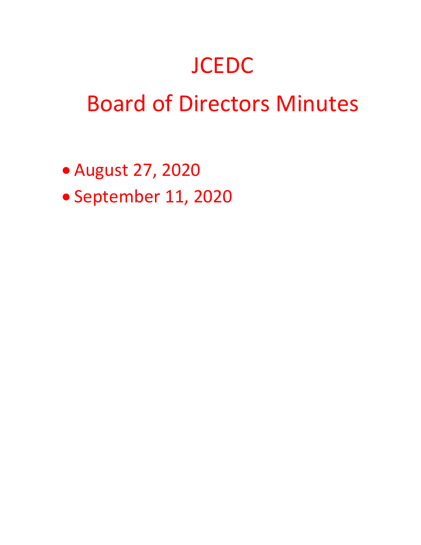# **JCEDC**

# Board of Directors Minutes

- August 27, 2020
- September 11, 2020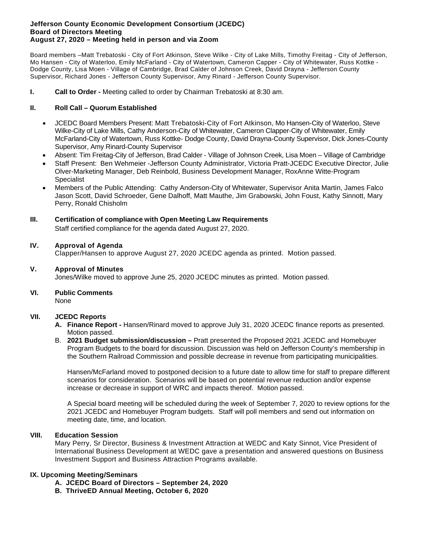#### **Jefferson County Economic Development Consortium (JCEDC) Board of Directors Meeting August 27, 2020 – Meeting held in person and via Zoom**

Board members –Matt Trebatoski - City of Fort Atkinson, Steve Wilke - City of Lake Mills, Timothy Freitag - City of Jefferson, Mo Hansen - City of Waterloo, Emily McFarland - City of Watertown, Cameron Capper - City of Whitewater, Russ Kottke - Dodge County, Lisa Moen - Village of Cambridge, Brad Calder of Johnson Creek, David Drayna - Jefferson County Supervisor, Richard Jones - Jefferson County Supervisor, Amy Rinard - Jefferson County Supervisor.

**I. Call to Order -** Meeting called to order by Chairman Trebatoski at 8:30 am.

## **II. Roll Call – Quorum Established**

- JCEDC Board Members Present: Matt Trebatoski-City of Fort Atkinson, Mo Hansen-City of Waterloo, Steve Wilke-City of Lake Mills, Cathy Anderson-City of Whitewater, Cameron Clapper-City of Whitewater, Emily McFarland-City of Watertown, Russ Kottke- Dodge County, David Drayna-County Supervisor, Dick Jones-County Supervisor, Amy Rinard-County Supervisor
- Absent: Tim Freitag-City of Jefferson, Brad Calder Village of Johnson Creek, Lisa Moen Village of Cambridge
- Staff Present: Ben Wehmeier -Jefferson County Administrator, Victoria Pratt-JCEDC Executive Director, Julie Olver-Marketing Manager, Deb Reinbold, Business Development Manager, RoxAnne Witte-Program **Specialist**
- Members of the Public Attending: Cathy Anderson-City of Whitewater, Supervisor Anita Martin, James Falco Jason Scott, David Schroeder, Gene Dalhoff, Matt Mauthe, Jim Grabowski, John Foust, Kathy Sinnott, Mary Perry, Ronald Chisholm

## **III. Certification of compliance with Open Meeting Law Requirements**

Staff certified compliance for the agenda dated August 27, 2020.

## **IV. Approval of Agenda**

Clapper/Hansen to approve August 27, 2020 JCEDC agenda as printed. Motion passed.

### **V. Approval of Minutes**

Jones/Wilke moved to approve June 25, 2020 JCEDC minutes as printed. Motion passed.

### **VI. Public Comments**

None

### **VII. JCEDC Reports**

- **A. Finance Report -** Hansen/Rinard moved to approve July 31, 2020 JCEDC finance reports as presented. Motion passed.
- B. **2021 Budget submission/discussion –** Pratt presented the Proposed 2021 JCEDC and Homebuyer Program Budgets to the board for discussion. Discussion was held on Jefferson County's membership in the Southern Railroad Commission and possible decrease in revenue from participating municipalities.

Hansen/McFarland moved to postponed decision to a future date to allow time for staff to prepare different scenarios for consideration. Scenarios will be based on potential revenue reduction and/or expense increase or decrease in support of WRC and impacts thereof. Motion passed.

A Special board meeting will be scheduled during the week of September 7, 2020 to review options for the 2021 JCEDC and Homebuyer Program budgets. Staff will poll members and send out information on meeting date, time, and location.

# **VIII. Education Session**

Mary Perry, Sr Director, Business & Investment Attraction at WEDC and Katy Sinnot, Vice President of International Business Development at WEDC gave a presentation and answered questions on Business Investment Support and Business Attraction Programs available.

# **IX. Upcoming Meeting/Seminars**

- **A. JCEDC Board of Directors – September 24, 2020**
- **B. ThriveED Annual Meeting, October 6, 2020**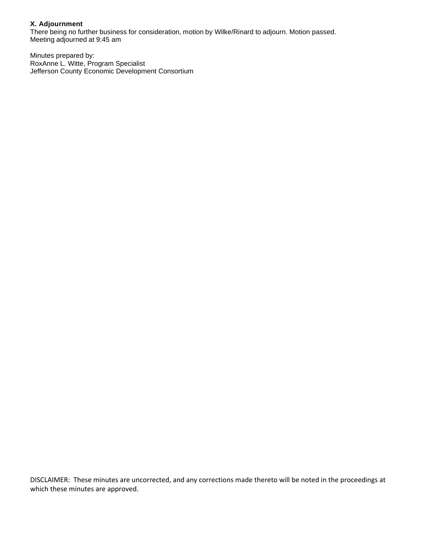# **X. Adjournment**

There being no further business for consideration, motion by Wilke/Rinard to adjourn. Motion passed. Meeting adjourned at 9:45 am

Minutes prepared by: RoxAnne L. Witte, Program Specialist Jefferson County Economic Development Consortium

DISCLAIMER: These minutes are uncorrected, and any corrections made thereto will be noted in the proceedings at which these minutes are approved.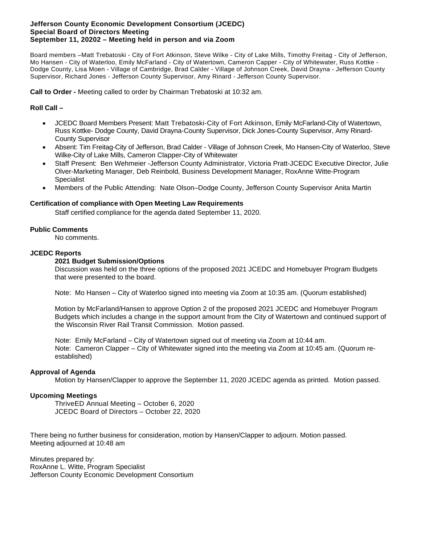#### **Jefferson County Economic Development Consortium (JCEDC) Special Board of Directors Meeting September 11, 20202 – Meeting held in person and via Zoom**

Board members –Matt Trebatoski - City of Fort Atkinson, Steve Wilke - City of Lake Mills, Timothy Freitag - City of Jefferson, Mo Hansen - City of Waterloo, Emily McFarland - City of Watertown, Cameron Capper - City of Whitewater, Russ Kottke - Dodge County, Lisa Moen - Village of Cambridge, Brad Calder - Village of Johnson Creek, David Drayna - Jefferson County Supervisor, Richard Jones - Jefferson County Supervisor, Amy Rinard - Jefferson County Supervisor.

**Call to Order -** Meeting called to order by Chairman Trebatoski at 10:32 am.

### **Roll Call –**

- JCEDC Board Members Present: Matt Trebatoski-City of Fort Atkinson, Emily McFarland-City of Watertown, Russ Kottke- Dodge County, David Drayna-County Supervisor, Dick Jones-County Supervisor, Amy Rinard-County Supervisor
- Absent: Tim Freitag-City of Jefferson, Brad Calder Village of Johnson Creek, Mo Hansen-City of Waterloo, Steve Wilke-City of Lake Mills, Cameron Clapper-City of Whitewater
- Staff Present: Ben Wehmeier -Jefferson County Administrator, Victoria Pratt-JCEDC Executive Director, Julie Olver-Marketing Manager, Deb Reinbold, Business Development Manager, RoxAnne Witte-Program **Specialist**
- Members of the Public Attending: Nate Olson–Dodge County, Jefferson County Supervisor Anita Martin

#### **Certification of compliance with Open Meeting Law Requirements**

Staff certified compliance for the agenda dated September 11, 2020.

### **Public Comments**

No comments.

#### **JCEDC Reports**

#### **2021 Budget Submission/Options**

Discussion was held on the three options of the proposed 2021 JCEDC and Homebuyer Program Budgets that were presented to the board.

Note: Mo Hansen – City of Waterloo signed into meeting via Zoom at 10:35 am. (Quorum established)

Motion by McFarland/Hansen to approve Option 2 of the proposed 2021 JCEDC and Homebuyer Program Budgets which includes a change in the support amount from the City of Watertown and continued support of the Wisconsin River Rail Transit Commission. Motion passed.

Note: Emily McFarland – City of Watertown signed out of meeting via Zoom at 10:44 am. Note: Cameron Clapper – City of Whitewater signed into the meeting via Zoom at 10:45 am. (Quorum reestablished)

### **Approval of Agenda**

Motion by Hansen/Clapper to approve the September 11, 2020 JCEDC agenda as printed. Motion passed.

#### **Upcoming Meetings**

ThriveED Annual Meeting – October 6, 2020 JCEDC Board of Directors – October 22, 2020

There being no further business for consideration, motion by Hansen/Clapper to adjourn. Motion passed. Meeting adjourned at 10:48 am

Minutes prepared by: RoxAnne L. Witte, Program Specialist Jefferson County Economic Development Consortium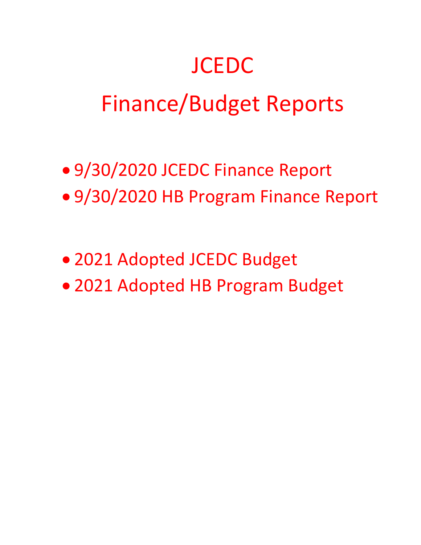# **JCEDC**

# Finance/Budget Reports

- 9/30/2020 JCEDC Finance Report
- 9/30/2020 HB Program Finance Report
- 2021 Adopted JCEDC Budget
- 2021 Adopted HB Program Budget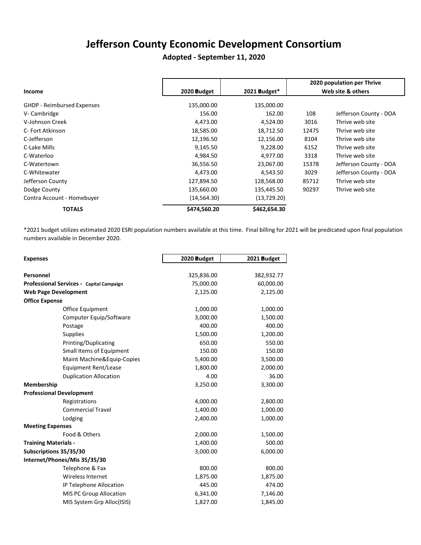# **Jefferson County Economic Development Consortium**

# **Adopted - September 11, 2020**

|                                   |              |              |       | 2020 population per Thrive |
|-----------------------------------|--------------|--------------|-------|----------------------------|
| Income                            | 2020 Budget  | 2021 Budget* |       | Web site & others          |
| <b>GHDP - Reimbursed Expenses</b> | 135,000.00   | 135,000.00   |       |                            |
| V- Cambridge                      | 156.00       | 162.00       | 108   | Jefferson County - DOA     |
| V-Johnson Creek                   | 4,473.00     | 4,524.00     | 3016  | Thrive web site            |
| C- Fort Atkinson                  | 18,585.00    | 18,712.50    | 12475 | Thrive web site            |
| C-Jefferson                       | 12,196.50    | 12,156.00    | 8104  | Thrive web site            |
| C-Lake Mills                      | 9,145.50     | 9,228.00     | 6152  | Thrive web site            |
| C-Waterloo                        | 4,984.50     | 4,977.00     | 3318  | Thrive web site            |
| C-Watertown                       | 36,556.50    | 23,067.00    | 15378 | Jefferson County - DOA     |
| C-Whitewater                      | 4,473.00     | 4,543.50     | 3029  | Jefferson County - DOA     |
| Jefferson County                  | 127,894.50   | 128,568.00   | 85712 | Thrive web site            |
| Dodge County                      | 135,660.00   | 135,445.50   | 90297 | Thrive web site            |
| Contra Account - Homebuyer        | (14, 564.30) | (13, 729.20) |       |                            |
| <b>TOTALS</b>                     | \$474,560.20 | \$462,654.30 |       |                            |

\*2021 budget utilizes estimated 2020 ESRI population numbers available at this time. Final billing for 2021 will be predicated upon final population numbers available in December 2020.

| <b>Expenses</b>                          | 2020 Budget | 2021 Budget |
|------------------------------------------|-------------|-------------|
|                                          |             |             |
| Personnel                                | 325,836.00  | 382,932.77  |
| Professional Services - Capital Campaign | 75,000.00   | 60,000.00   |
| <b>Web Page Development</b>              | 2,125.00    | 2,125.00    |
| <b>Office Expense</b>                    |             |             |
| Office Equipment                         | 1,000.00    | 1,000.00    |
| Computer Equip/Software                  | 3,000.00    | 1,500.00    |
| Postage                                  | 400.00      | 400.00      |
| <b>Supplies</b>                          | 1,500.00    | 1,200.00    |
| Printing/Duplicating                     | 650.00      | 550.00      |
| Small Items of Equipment                 | 150.00      | 150.00      |
| Maint Machine&Equip-Copies               | 5,400.00    | 3,500.00    |
| Equipment Rent/Lease                     | 1,800.00    | 2,000.00    |
| <b>Duplication Allocation</b>            | 4.00        | 36.00       |
| Membership                               | 3,250.00    | 3,300.00    |
| <b>Professional Development</b>          |             |             |
| Registrations                            | 4,000.00    | 2,800.00    |
| <b>Commercial Travel</b>                 | 1,400.00    | 1,000.00    |
| Lodging                                  | 2,400.00    | 1,000.00    |
| <b>Meeting Expenses</b>                  |             |             |
| Food & Others                            | 2,000.00    | 1,500.00    |
| <b>Training Materials -</b>              | 1,400.00    | 500.00      |
| Subscriptions 35/35/30                   | 3,000.00    | 6,000.00    |
| Internet/Phones/Mis 35/35/30             |             |             |
| Telephone & Fax                          | 800.00      | 800.00      |
| Wireless Internet                        | 1,875.00    | 1,875.00    |
| IP Telephone Allocation                  | 445.00      | 474.00      |
| MIS PC Group Allocation                  | 6,341.00    | 7,146.00    |
| MIS System Grp Alloc(ISIS)               | 1,827.00    | 1,845.00    |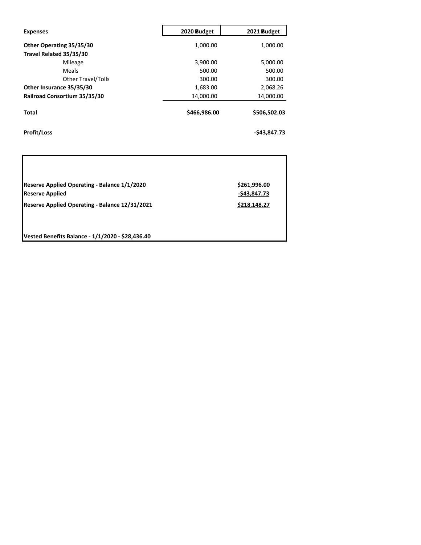| <b>Expenses</b>              | 2020 Budget  | 2021 Budget  |
|------------------------------|--------------|--------------|
| Other Operating 35/35/30     | 1,000.00     | 1,000.00     |
| Travel Related 35/35/30      |              |              |
| Mileage                      | 3,900.00     | 5,000.00     |
| Meals                        | 500.00       | 500.00       |
| Other Travel/Tolls           | 300.00       | 300.00       |
| Other Insurance 35/35/30     | 1,683.00     | 2,068.26     |
| Railroad Consortium 35/35/30 | 14,000.00    | 14,000.00    |
| <b>Total</b>                 | \$466,986.00 | \$506,502.03 |
| <b>Profit/Loss</b>           |              | -\$43.847.73 |

| Reserve Applied Operating - Balance 1/1/2020   | \$261,996.00  |
|------------------------------------------------|---------------|
| <b>Reserve Applied</b>                         | $-543,847.73$ |
| Reserve Applied Operating - Balance 12/31/2021 | \$218,148.27  |

**Vested Benefits Balance - 1/1/2020 - \$28,436.40**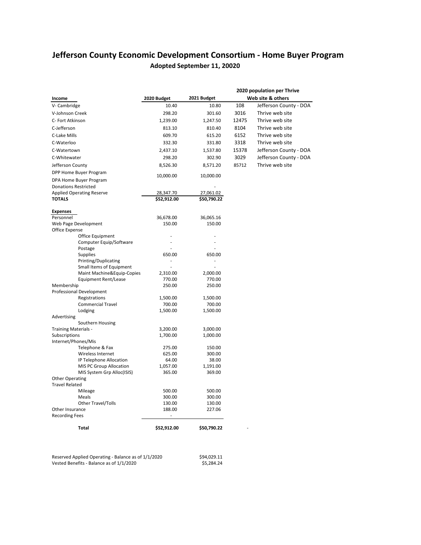# **Jefferson County Economic Development Consortium - Home Buyer Program Adopted September 11, 20020**

|                                                       | 2020 population per Thrive |                    |       |                        |  |  |  |  |  |
|-------------------------------------------------------|----------------------------|--------------------|-------|------------------------|--|--|--|--|--|
| Income                                                | 2020 Budget                | 2021 Budget        |       | Web site & others      |  |  |  |  |  |
| V-Cambridge                                           | 10.40                      | 10.80              | 108   | Jefferson County - DOA |  |  |  |  |  |
| V-Johnson Creek                                       | 298.20                     | 301.60             | 3016  | Thrive web site        |  |  |  |  |  |
| C- Fort Atkinson                                      | 1,239.00                   | 1,247.50           | 12475 | Thrive web site        |  |  |  |  |  |
| C-Jefferson                                           |                            | 810.40             | 8104  | Thrive web site        |  |  |  |  |  |
|                                                       | 813.10                     |                    |       |                        |  |  |  |  |  |
| C-Lake Mills                                          | 609.70                     | 615.20             | 6152  | Thrive web site        |  |  |  |  |  |
| C-Waterloo                                            | 332.30                     | 331.80             | 3318  | Thrive web site        |  |  |  |  |  |
| C-Watertown                                           | 2,437.10                   | 1,537.80           | 15378 | Jefferson County - DOA |  |  |  |  |  |
| C-Whitewater                                          | 298.20                     | 302.90             | 3029  | Jefferson County - DOA |  |  |  |  |  |
| Jefferson County                                      | 8,526.30                   | 8,571.20           | 85712 | Thrive web site        |  |  |  |  |  |
| DPP Home Buyer Program                                | 10,000.00                  | 10,000.00          |       |                        |  |  |  |  |  |
| DPA Home Buyer Program                                |                            |                    |       |                        |  |  |  |  |  |
| <b>Donations Restricted</b>                           |                            |                    |       |                        |  |  |  |  |  |
| <b>Applied Operating Reserve</b>                      | 28,347.70                  | 27,061.02          |       |                        |  |  |  |  |  |
| <b>TOTALS</b>                                         | \$52,912.00                | \$50,790.22        |       |                        |  |  |  |  |  |
|                                                       |                            |                    |       |                        |  |  |  |  |  |
| <b>Expenses</b>                                       |                            |                    |       |                        |  |  |  |  |  |
| Personnel                                             | 36,678.00                  | 36,065.16          |       |                        |  |  |  |  |  |
| Web Page Development<br>Office Expense                | 150.00                     | 150.00             |       |                        |  |  |  |  |  |
| Office Equipment                                      |                            |                    |       |                        |  |  |  |  |  |
| Computer Equip/Software                               |                            |                    |       |                        |  |  |  |  |  |
| Postage                                               |                            |                    |       |                        |  |  |  |  |  |
| <b>Supplies</b>                                       | 650.00                     | 650.00             |       |                        |  |  |  |  |  |
| Printing/Duplicating                                  |                            | ÷.                 |       |                        |  |  |  |  |  |
| Small Items of Equipment                              |                            | ٠                  |       |                        |  |  |  |  |  |
| Maint Machine&Equip-Copies                            | 2,310.00                   | 2,000.00           |       |                        |  |  |  |  |  |
| Equipment Rent/Lease                                  | 770.00                     | 770.00             |       |                        |  |  |  |  |  |
| Membership                                            | 250.00                     | 250.00             |       |                        |  |  |  |  |  |
| <b>Professional Development</b><br>Registrations      | 1,500.00                   | 1,500.00           |       |                        |  |  |  |  |  |
| <b>Commercial Travel</b>                              | 700.00                     | 700.00             |       |                        |  |  |  |  |  |
| Lodging                                               | 1,500.00                   | 1,500.00           |       |                        |  |  |  |  |  |
| Advertising                                           |                            |                    |       |                        |  |  |  |  |  |
| Southern Housing                                      |                            |                    |       |                        |  |  |  |  |  |
| Training Materials -                                  | 3,200.00                   | 3,000.00           |       |                        |  |  |  |  |  |
| Subscriptions                                         | 1,700.00                   | 1,000.00           |       |                        |  |  |  |  |  |
| Internet/Phones/Mis                                   |                            |                    |       |                        |  |  |  |  |  |
| Telephone & Fax                                       | 275.00                     | 150.00             |       |                        |  |  |  |  |  |
| Wireless Internet                                     | 625.00                     | 300.00             |       |                        |  |  |  |  |  |
| IP Telephone Allocation                               | 64.00                      | 38.00              |       |                        |  |  |  |  |  |
| MIS PC Group Allocation<br>MIS System Grp Alloc(ISIS) | 1,057.00<br>365.00         | 1,191.00<br>369.00 |       |                        |  |  |  |  |  |
| <b>Other Operating</b>                                |                            |                    |       |                        |  |  |  |  |  |
| <b>Travel Related</b>                                 |                            |                    |       |                        |  |  |  |  |  |
| Mileage                                               | 500.00                     | 500.00             |       |                        |  |  |  |  |  |
| Meals                                                 | 300.00                     | 300.00             |       |                        |  |  |  |  |  |
| <b>Other Travel/Tolls</b>                             | 130.00                     | 130.00             |       |                        |  |  |  |  |  |
| Other Insurance                                       | 188.00                     | 227.06             |       |                        |  |  |  |  |  |
| <b>Recording Fees</b>                                 |                            |                    |       |                        |  |  |  |  |  |
|                                                       |                            |                    |       |                        |  |  |  |  |  |
| <b>Total</b>                                          | \$52,912.00                | \$50,790.22        |       |                        |  |  |  |  |  |

Reserved Applied Operating - Balance as of 1/1/2020 \$94,029.11  $V$ ested Benefits - Balance as of  $1/1/2020$   $$5,284.24$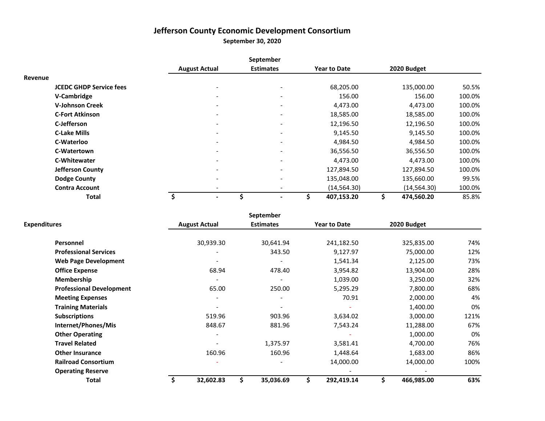# **Jefferson County Economic Development Consortium**

**September 30, 2020**

|                                |                      |                          | September                    |                     |                  |        |
|--------------------------------|----------------------|--------------------------|------------------------------|---------------------|------------------|--------|
|                                | <b>August Actual</b> |                          | <b>Estimates</b>             | <b>Year to Date</b> | 2020 Budget      |        |
| Revenue                        |                      |                          |                              |                     |                  |        |
| <b>JCEDC GHDP Service fees</b> |                      |                          | $\overline{\phantom{a}}$     | 68,205.00           | 135,000.00       | 50.5%  |
| V-Cambridge                    |                      | $\overline{\phantom{a}}$ | $\overline{\phantom{a}}$     | 156.00              | 156.00           | 100.0% |
| <b>V-Johnson Creek</b>         |                      |                          | $\overline{\phantom{a}}$     | 4,473.00            | 4,473.00         | 100.0% |
| <b>C-Fort Atkinson</b>         |                      |                          | $\qquad \qquad \blacksquare$ | 18,585.00           | 18,585.00        | 100.0% |
| C-Jefferson                    |                      |                          | $\overline{\phantom{a}}$     | 12,196.50           | 12,196.50        | 100.0% |
| <b>C-Lake Mills</b>            |                      |                          | $\overline{\phantom{a}}$     | 9,145.50            | 9,145.50         | 100.0% |
| C-Waterloo                     |                      |                          | $\overline{\phantom{a}}$     | 4,984.50            | 4,984.50         | 100.0% |
| C-Watertown                    |                      |                          | $\qquad \qquad \blacksquare$ | 36,556.50           | 36,556.50        | 100.0% |
| <b>C-Whitewater</b>            |                      |                          | $\qquad \qquad \blacksquare$ | 4,473.00            | 4,473.00         | 100.0% |
| <b>Jefferson County</b>        |                      |                          | $\overline{\phantom{a}}$     | 127,894.50          | 127,894.50       | 100.0% |
| <b>Dodge County</b>            |                      |                          | $\overline{\phantom{a}}$     | 135,048.00          | 135,660.00       | 99.5%  |
| <b>Contra Account</b>          |                      |                          | $\overline{\phantom{a}}$     | (14, 564.30)        | (14, 564.30)     | 100.0% |
| <b>Total</b>                   | \$                   | ۰                        | $\blacksquare$               | \$<br>407,153.20    | \$<br>474,560.20 | 85.8%  |

|                                 |                      | September        |                     |                  |      |
|---------------------------------|----------------------|------------------|---------------------|------------------|------|
| <b>Expenditures</b>             | <b>August Actual</b> | <b>Estimates</b> | <b>Year to Date</b> | 2020 Budget      |      |
| <b>Personnel</b>                | 30,939.30            | 30,641.94        | 241,182.50          | 325,835.00       | 74%  |
| <b>Professional Services</b>    |                      | 343.50           | 9,127.97            | 75,000.00        | 12%  |
| <b>Web Page Development</b>     |                      |                  | 1,541.34            | 2,125.00         | 73%  |
| <b>Office Expense</b>           | 68.94                | 478.40           | 3,954.82            | 13,904.00        | 28%  |
| Membership                      |                      |                  | 1,039.00            | 3,250.00         | 32%  |
| <b>Professional Development</b> | 65.00                | 250.00           | 5,295.29            | 7,800.00         | 68%  |
| <b>Meeting Expenses</b>         |                      |                  | 70.91               | 2,000.00         | 4%   |
| <b>Training Materials</b>       |                      |                  |                     | 1,400.00         | 0%   |
| <b>Subscriptions</b>            | 519.96               | 903.96           | 3,634.02            | 3,000.00         | 121% |
| Internet/Phones/Mis             | 848.67               | 881.96           | 7,543.24            | 11,288.00        | 67%  |
| <b>Other Operating</b>          |                      |                  |                     | 1,000.00         | 0%   |
| <b>Travel Related</b>           |                      | 1,375.97         | 3,581.41            | 4,700.00         | 76%  |
| <b>Other Insurance</b>          | 160.96               | 160.96           | 1,448.64            | 1,683.00         | 86%  |
| <b>Railroad Consortium</b>      |                      |                  | 14,000.00           | 14,000.00        | 100% |
| <b>Operating Reserve</b>        |                      |                  |                     |                  |      |
| Total                           | 32,602.83            | 35,036.69        | \$<br>292,419.14    | \$<br>466,985.00 | 63%  |
|                                 |                      |                  |                     |                  |      |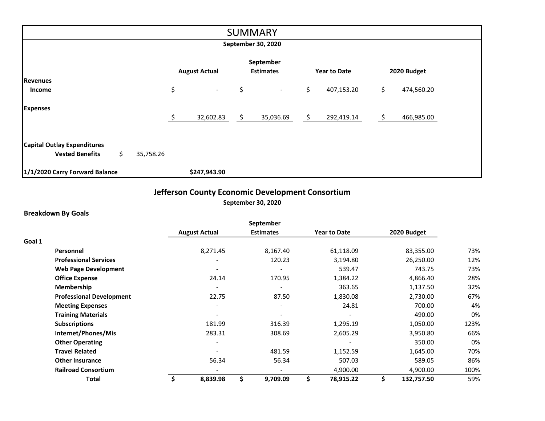|                                    |    |           |    |                      |    | <b>SUMMARY</b>   |    |                     |     |             |  |
|------------------------------------|----|-----------|----|----------------------|----|------------------|----|---------------------|-----|-------------|--|
| September 30, 2020                 |    |           |    |                      |    |                  |    |                     |     |             |  |
|                                    |    |           |    |                      |    | September        |    |                     |     |             |  |
|                                    |    |           |    | <b>August Actual</b> |    | <b>Estimates</b> |    | <b>Year to Date</b> |     | 2020 Budget |  |
| <b>Revenues</b>                    |    |           |    |                      |    |                  |    |                     |     |             |  |
| Income                             |    |           | \$ | $\sim$               | \$ | $\sim$           | \$ | 407,153.20          | \$. | 474,560.20  |  |
| <b>Expenses</b>                    |    |           |    |                      |    |                  |    |                     |     |             |  |
|                                    |    |           | Ś  | 32,602.83            | \$ | 35,036.69        | \$ | 292,419.14          | \$  | 466,985.00  |  |
|                                    |    |           |    |                      |    |                  |    |                     |     |             |  |
| <b>Capital Outlay Expenditures</b> |    |           |    |                      |    |                  |    |                     |     |             |  |
| <b>Vested Benefits</b>             | \$ | 35,758.26 |    |                      |    |                  |    |                     |     |             |  |
| 1/1/2020 Carry Forward Balance     |    |           |    | \$247,943.90         |    |                  |    |                     |     |             |  |

# **Jefferson County Economic Development Consortium September 30, 2020**

# **Breakdown By Goals**

|                                 |                      | September                |                     |   |             |      |
|---------------------------------|----------------------|--------------------------|---------------------|---|-------------|------|
|                                 | <b>August Actual</b> | <b>Estimates</b>         | <b>Year to Date</b> |   | 2020 Budget |      |
| Goal 1                          |                      |                          |                     |   |             |      |
| <b>Personnel</b>                | 8,271.45             | 8,167.40                 | 61,118.09           |   | 83,355.00   | 73%  |
| <b>Professional Services</b>    |                      | 120.23                   | 3,194.80            |   | 26,250.00   | 12%  |
| <b>Web Page Development</b>     |                      |                          | 539.47              |   | 743.75      | 73%  |
| <b>Office Expense</b>           | 24.14                | 170.95                   | 1,384.22            |   | 4,866.40    | 28%  |
| <b>Membership</b>               |                      |                          | 363.65              |   | 1,137.50    | 32%  |
| <b>Professional Development</b> | 22.75                | 87.50                    | 1,830.08            |   | 2,730.00    | 67%  |
| <b>Meeting Expenses</b>         |                      | $\overline{\phantom{a}}$ | 24.81               |   | 700.00      | 4%   |
| <b>Training Materials</b>       |                      |                          |                     |   | 490.00      | 0%   |
| <b>Subscriptions</b>            | 181.99               | 316.39                   | 1,295.19            |   | 1,050.00    | 123% |
| Internet/Phones/Mis             | 283.31               | 308.69                   | 2,605.29            |   | 3,950.80    | 66%  |
| <b>Other Operating</b>          |                      |                          |                     |   | 350.00      | 0%   |
| <b>Travel Related</b>           |                      | 481.59                   | 1,152.59            |   | 1,645.00    | 70%  |
| <b>Other Insurance</b>          | 56.34                | 56.34                    | 507.03              |   | 589.05      | 86%  |
| <b>Railroad Consortium</b>      |                      |                          | 4,900.00            |   | 4,900.00    | 100% |
| Total                           | \$<br>8,839.98       | \$<br>9,709.09           | \$<br>78,915.22     | Ś | 132,757.50  | 59%  |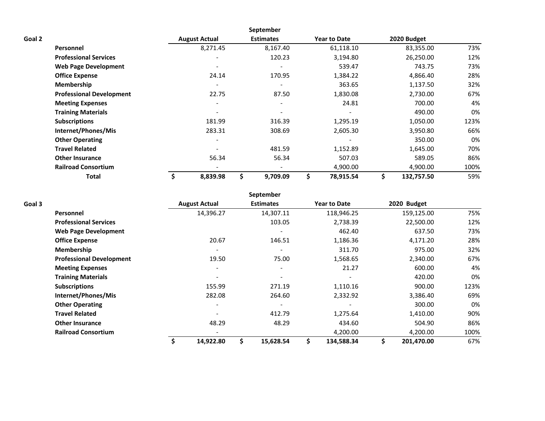|                           |                                 |                          | <b>September</b>         |                     |                  |      |
|---------------------------|---------------------------------|--------------------------|--------------------------|---------------------|------------------|------|
| Goal 2                    |                                 | <b>August Actual</b>     | <b>Estimates</b>         | <b>Year to Date</b> | 2020 Budget      |      |
| <b>Personnel</b>          |                                 | 8,271.45                 | 8,167.40                 | 61,118.10           | 83,355.00        | 73%  |
|                           | <b>Professional Services</b>    |                          | 120.23                   | 3,194.80            | 26,250.00        | 12%  |
|                           | <b>Web Page Development</b>     | $\overline{\phantom{a}}$ |                          | 539.47              | 743.75           | 73%  |
| <b>Office Expense</b>     |                                 | 24.14                    | 170.95                   | 1,384.22            | 4,866.40         | 28%  |
| Membership                |                                 |                          |                          | 363.65              | 1,137.50         | 32%  |
|                           | <b>Professional Development</b> | 22.75                    | 87.50                    | 1,830.08            | 2,730.00         | 67%  |
| <b>Meeting Expenses</b>   |                                 | $\overline{\phantom{0}}$ | $\overline{\phantom{0}}$ | 24.81               | 700.00           | 4%   |
| <b>Training Materials</b> |                                 |                          |                          |                     | 490.00           | 0%   |
| <b>Subscriptions</b>      |                                 | 181.99                   | 316.39                   | 1,295.19            | 1,050.00         | 123% |
|                           | Internet/Phones/Mis             | 283.31                   | 308.69                   | 2,605.30            | 3,950.80         | 66%  |
| <b>Other Operating</b>    |                                 |                          |                          |                     | 350.00           | 0%   |
| <b>Travel Related</b>     |                                 |                          | 481.59                   | 1,152.89            | 1,645.00         | 70%  |
| <b>Other Insurance</b>    |                                 | 56.34                    | 56.34                    | 507.03              | 589.05           | 86%  |
|                           | <b>Railroad Consortium</b>      |                          |                          | 4,900.00            | 4,900.00         | 100% |
|                           | Total                           | 8,839.98                 | 9,709.09                 | \$<br>78,915.54     | \$<br>132,757.50 | 59%  |

|        |                                 |                              | September        |                     |                  |      |
|--------|---------------------------------|------------------------------|------------------|---------------------|------------------|------|
| Goal 3 |                                 | <b>August Actual</b>         | <b>Estimates</b> | <b>Year to Date</b> | 2020 Budget      |      |
|        | Personnel                       | 14,396.27                    | 14,307.11        | 118,946.25          | 159,125.00       | 75%  |
|        | <b>Professional Services</b>    |                              | 103.05           | 2,738.39            | 22,500.00        | 12%  |
|        | <b>Web Page Development</b>     |                              |                  | 462.40              | 637.50           | 73%  |
|        | <b>Office Expense</b>           | 20.67                        | 146.51           | 1,186.36            | 4,171.20         | 28%  |
|        | <b>Membership</b>               |                              |                  | 311.70              | 975.00           | 32%  |
|        | <b>Professional Development</b> | 19.50                        | 75.00            | 1,568.65            | 2,340.00         | 67%  |
|        | <b>Meeting Expenses</b>         | $\qquad \qquad \blacksquare$ | $\blacksquare$   | 21.27               | 600.00           | 4%   |
|        | <b>Training Materials</b>       | $\overline{\phantom{a}}$     |                  |                     | 420.00           | 0%   |
|        | <b>Subscriptions</b>            | 155.99                       | 271.19           | 1,110.16            | 900.00           | 123% |
|        | Internet/Phones/Mis             | 282.08                       | 264.60           | 2,332.92            | 3,386.40         | 69%  |
|        | <b>Other Operating</b>          | $\qquad \qquad \blacksquare$ |                  |                     | 300.00           | 0%   |
|        | <b>Travel Related</b>           |                              | 412.79           | 1,275.64            | 1,410.00         | 90%  |
|        | <b>Other Insurance</b>          | 48.29                        | 48.29            | 434.60              | 504.90           | 86%  |
|        | <b>Railroad Consortium</b>      |                              |                  | 4,200.00            | 4,200.00         | 100% |
|        |                                 | 14,922.80                    | 15,628.54        | 134,588.34          | \$<br>201,470.00 | 67%  |